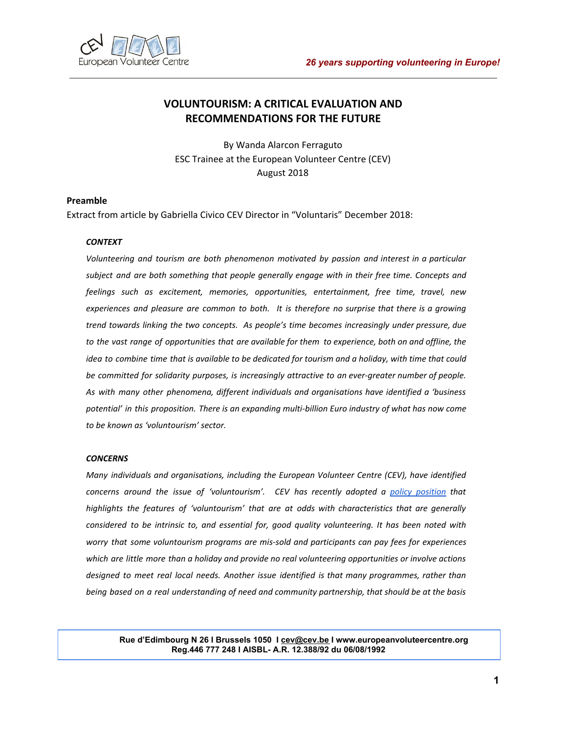

# **VOLUNTOURISM: A CRITICAL EVALUATION AND RECOMMENDATIONS FOR THE FUTURE**

By Wanda Alarcon Ferraguto ESC Trainee at the European Volunteer Centre (CEV) August 2018

### **Preamble**

Extract from article by Gabriella Civico CEV Director in "Voluntaris" December 2018:

### *CONTEXT*

*Volunteering and tourism are both phenomenon motivated by passion and interest in a particular subject and are both something that people generally engage with in their free time. Concepts and feelings such as excitement, memories, opportunities, entertainment, free time, travel, new experiences and pleasure are common to both. It is therefore no surprise that there is a growing trend towards linking the two concepts. As people's time becomes increasingly under pressure, due* to the vast range of opportunities that are available for them to experience, both on and offline, the idea to combine time that is available to be dedicated for tourism and a holiday, with time that could *be committed for solidarity purposes, is increasingly attractive to an ever-greater number of people. As with many other phenomena, different individuals and organisations have identified a 'business potential' in this proposition. There is an expanding multi-billion Euro industry of what has now come to be known as 'voluntourism' sector.*

#### *CONCERNS*

*Many individuals and organisations, including the European Volunteer Centre (CEV), have identified concerns around the issue of 'voluntourism'. CEV has recently adopted a policy [position](https://issuu.com/european_volunteer_centre/docs/cev_policy_statements_on_volunteeri) that highlights the features of 'voluntourism' that are at odds with characteristics that are generally considered to be intrinsic to, and essential for, good quality volunteering. It has been noted with worry that some voluntourism programs are mis-sold and participants can pay fees for experiences which are little more than a holiday and provide no real volunteering opportunities or involve actions designed to meet real local needs. Another issue identified is that many programmes, rather than being based on a real understanding of need and community partnership, that should be at the basis*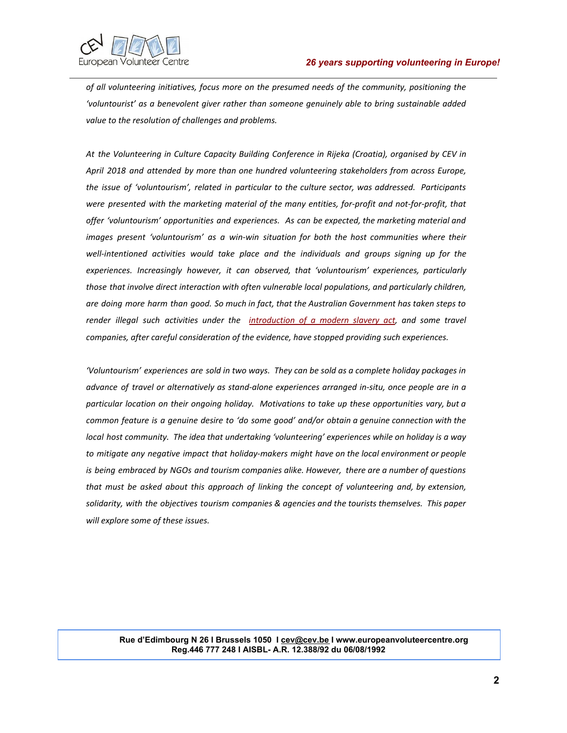

*of all volunteering initiatives, focus more on the presumed needs of the community, positioning the 'voluntourist' as a benevolent giver rather than someone genuinely able to bring sustainable added value to the resolution of challenges and problems.*

*At the Volunteering in Culture Capacity Building Conference in Rijeka (Croatia), organised by CEV in April 2018 and attended by more than one hundred volunteering stakeholders from across Europe, the issue of 'voluntourism', related in particular to the culture sector, was addressed. Participants were presented with the marketing material of the many entities, for-profit and not-for-profit, that offer 'voluntourism' opportunities and experiences. As can be expected, the marketing material and images present 'voluntourism' as a win-win situation for both the host communities where their well-intentioned activities would take place and the individuals and groups signing up for the experiences. Increasingly however, it can observed, that 'voluntourism' experiences, particularly those that involve direct interaction with often vulnerable local populations, and particularly children, are doing more harm than good. So much in fact, that the Australian Government has taken steps to render illegal such activities under the [introduction](https://www.theguardian.com/sustainable-business/2017/apr/11/australia-must-legislate-to-prevent-modern-slavery-in-our-supply-chains) of a modern slavery act, and some travel companies, after careful consideration of the evidence, have stopped providing such experiences.*

*'Voluntourism' experiences are sold in two ways. They can be sold as a complete holiday packages in advance of travel or alternatively as stand-alone experiences arranged in-situ, once people are in a particular location on their ongoing holiday. Motivations to take up these opportunities vary, but a common feature is a genuine desire to 'do some good' and/or obtain a genuine connection with the local host community. The idea that undertaking 'volunteering' experiences while on holiday is a way to mitigate any negative impact that holiday-makers might have on the local environment or people is being embraced by NGOs and tourism companies alike. However, there are a number of questions that must be asked about this approach of linking the concept of volunteering and, by extension, solidarity, with the objectives tourism companies & agencies and the tourists themselves. This paper will explore some of these issues.*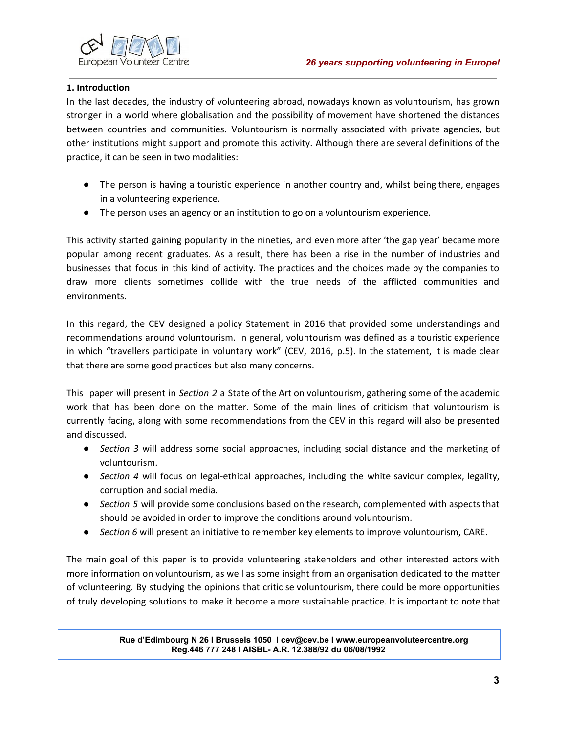

## **1. Introduction**

In the last decades, the industry of volunteering abroad, nowadays known as voluntourism, has grown stronger in a world where globalisation and the possibility of movement have shortened the distances between countries and communities. Voluntourism is normally associated with private agencies, but other institutions might support and promote this activity. Although there are several definitions of the practice, it can be seen in two modalities:

- The person is having a touristic experience in another country and, whilst being there, engages in a volunteering experience.
- The person uses an agency or an institution to go on a voluntourism experience.

This activity started gaining popularity in the nineties, and even more after 'the gap year' became more popular among recent graduates. As a result, there has been a rise in the number of industries and businesses that focus in this kind of activity. The practices and the choices made by the companies to draw more clients sometimes collide with the true needs of the afflicted communities and environments.

In this regard, the CEV designed a policy Statement in 2016 that provided some understandings and recommendations around voluntourism. In general, voluntourism was defined as a touristic experience in which "travellers participate in voluntary work" (CEV, 2016, p.5). In the statement, it is made clear that there are some good practices but also many concerns.

This paper will present in *Section 2* a State of the Art on voluntourism, gathering some of the academic work that has been done on the matter. Some of the main lines of criticism that voluntourism is currently facing, along with some recommendations from the CEV in this regard will also be presented and discussed.

- *Section 3* will address some social approaches, including social distance and the marketing of voluntourism.
- *Section 4* will focus on legal-ethical approaches, including the white saviour complex, legality, corruption and social media.
- *Section 5* will provide some conclusions based on the research, complemented with aspects that should be avoided in order to improve the conditions around voluntourism.
- *Section 6* will present an initiative to remember key elements to improve voluntourism, CARE.

The main goal of this paper is to provide volunteering stakeholders and other interested actors with more information on voluntourism, as well as some insight from an organisation dedicated to the matter of volunteering. By studying the opinions that criticise voluntourism, there could be more opportunities of truly developing solutions to make it become a more sustainable practice. It is important to note that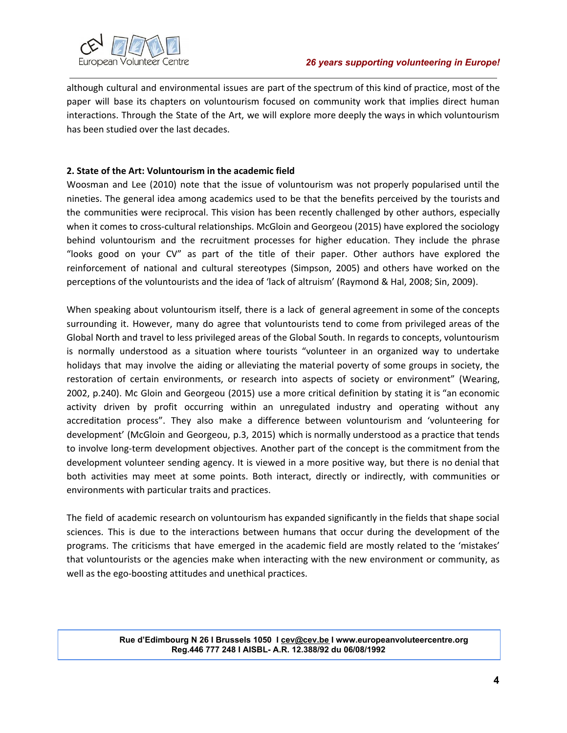

although cultural and environmental issues are part of the spectrum of this kind of practice, most of the paper will base its chapters on voluntourism focused on community work that implies direct human interactions. Through the State of the Art, we will explore more deeply the ways in which voluntourism has been studied over the last decades.

# **2. State of the Art: Voluntourism in the academic field**

Woosman and Lee (2010) note that the issue of voluntourism was not properly popularised until the nineties. The general idea among academics used to be that the benefits perceived by the tourists and the communities were reciprocal. This vision has been recently challenged by other authors, especially when it comes to cross-cultural relationships. McGloin and Georgeou (2015) have explored the sociology behind voluntourism and the recruitment processes for higher education. They include the phrase "looks good on your CV" as part of the title of their paper. Other authors have explored the reinforcement of national and cultural stereotypes (Simpson, 2005) and others have worked on the perceptions of the voluntourists and the idea of 'lack of altruism' (Raymond & Hal, 2008; Sin, 2009).

When speaking about voluntourism itself, there is a lack of general agreement in some of the concepts surrounding it. However, many do agree that voluntourists tend to come from privileged areas of the Global North and travel to less privileged areas of the Global South. In regards to concepts, voluntourism is normally understood as a situation where tourists "volunteer in an organized way to undertake holidays that may involve the aiding or alleviating the material poverty of some groups in society, the restoration of certain environments, or research into aspects of society or environment" (Wearing, 2002, p.240). Mc Gloin and Georgeou (2015) use a more critical definition by stating it is "an economic activity driven by profit occurring within an unregulated industry and operating without any accreditation process". They also make a difference between voluntourism and 'volunteering for development' (McGloin and Georgeou, p.3, 2015) which is normally understood as a practice that tends to involve long-term development objectives. Another part of the concept is the commitment from the development volunteer sending agency. It is viewed in a more positive way, but there is no denial that both activities may meet at some points. Both interact, directly or indirectly, with communities or environments with particular traits and practices.

The field of academic research on voluntourism has expanded significantly in the fields that shape social sciences. This is due to the interactions between humans that occur during the development of the programs. The criticisms that have emerged in the academic field are mostly related to the 'mistakes' that voluntourists or the agencies make when interacting with the new environment or community, as well as the ego-boosting attitudes and unethical practices.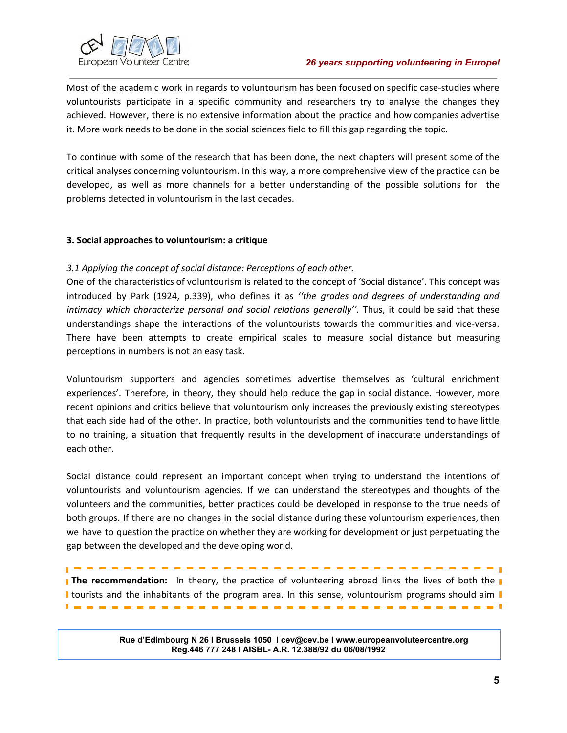# *26 years supporting volunteering in Europe!*



Most of the academic work in regards to voluntourism has been focused on specific case-studies where voluntourists participate in a specific community and researchers try to analyse the changes they achieved. However, there is no extensive information about the practice and how companies advertise it. More work needs to be done in the social sciences field to fill this gap regarding the topic.

To continue with some of the research that has been done, the next chapters will present some of the critical analyses concerning voluntourism. In this way, a more comprehensive view of the practice can be developed, as well as more channels for a better understanding of the possible solutions for the problems detected in voluntourism in the last decades.

# **3. Social approaches to voluntourism: a critique**

# *3.1 Applying the concept of social distance: Perceptions of each other.*

One of the characteristics of voluntourism is related to the concept of 'Social distance'. This concept was introduced by Park (1924, p.339), who defines it as *''the grades and degrees of understanding and intimacy which characterize personal and social relations generally''.* Thus, it could be said that these understandings shape the interactions of the voluntourists towards the communities and vice-versa. There have been attempts to create empirical scales to measure social distance but measuring perceptions in numbers is not an easy task.

Voluntourism supporters and agencies sometimes advertise themselves as 'cultural enrichment experiences'. Therefore, in theory, they should help reduce the gap in social distance. However, more recent opinions and critics believe that voluntourism only increases the previously existing stereotypes that each side had of the other. In practice, both voluntourists and the communities tend to have little to no training, a situation that frequently results in the development of inaccurate understandings of each other.

Social distance could represent an important concept when trying to understand the intentions of voluntourists and voluntourism agencies. If we can understand the stereotypes and thoughts of the volunteers and the communities, better practices could be developed in response to the true needs of both groups. If there are no changes in the social distance during these voluntourism experiences, then we have to question the practice on whether they are working for development or just perpetuating the gap between the developed and the developing world.

**The recommendation:** In theory, the practice of volunteering abroad links the lives of both the I tourists and the inhabitants of the program area. In this sense, voluntourism programs should aim I

. . . . . . . . . . . . . . .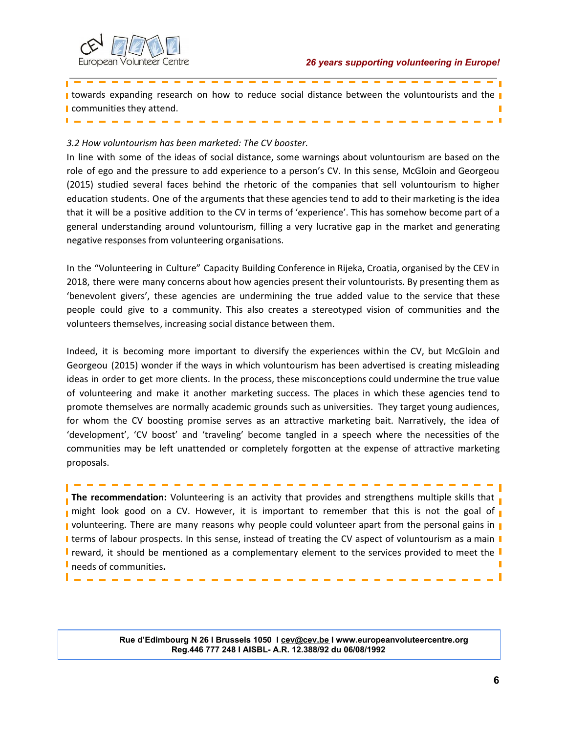$\overline{\phantom{a}}$ 



**I** towards expanding research on how to reduce social distance between the voluntourists and the **I I** communities they attend. п

### *3.2 How voluntourism has been marketed: The CV booster.*

In line with some of the ideas of social distance, some warnings about voluntourism are based on the role of ego and the pressure to add experience to a person's CV. In this sense, McGloin and Georgeou (2015) studied several faces behind the rhetoric of the companies that sell voluntourism to higher education students. One of the arguments that these agencies tend to add to their marketing is the idea that it will be a positive addition to the CV in terms of 'experience'. This has somehow become part of a general understanding around voluntourism, filling a very lucrative gap in the market and generating negative responses from volunteering organisations.

In the "Volunteering in Culture" Capacity Building Conference in Rijeka, Croatia, organised by the CEV in 2018, there were many concerns about how agencies present their voluntourists. By presenting them as 'benevolent givers', these agencies are undermining the true added value to the service that these people could give to a community. This also creates a stereotyped vision of communities and the volunteers themselves, increasing social distance between them.

Indeed, it is becoming more important to diversify the experiences within the CV, but McGloin and Georgeou (2015) wonder if the ways in which voluntourism has been advertised is creating misleading ideas in order to get more clients. In the process, these misconceptions could undermine the true value of volunteering and make it another marketing success. The places in which these agencies tend to promote themselves are normally academic grounds such as universities. They target young audiences, for whom the CV boosting promise serves as an attractive marketing bait. Narratively, the idea of 'development', 'CV boost' and 'traveling' become tangled in a speech where the necessities of the communities may be left unattended or completely forgotten at the expense of attractive marketing proposals.

**The recommendation:** Volunteering is an activity that provides and strengthens multiple skills that **n** might look good on a CV. However, it is important to remember that this is not the goal of **v** volunteering. There are many reasons why people could volunteer apart from the personal gains in I terms of labour prospects. In this sense, instead of treating the CV aspect of voluntourism as a main I **I** reward, it should be mentioned as a complementary element to the services provided to meet the **I** needs of communities**.** п

------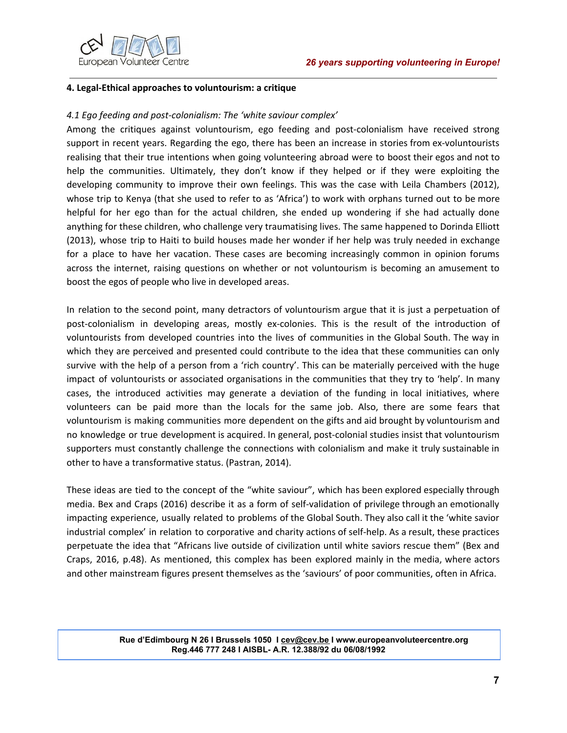

### **4. Legal-Ethical approaches to voluntourism: a critique**

## *4.1 Ego feeding and post-colonialism: The 'white saviour complex'*

Among the critiques against voluntourism, ego feeding and post-colonialism have received strong support in recent years. Regarding the ego, there has been an increase in stories from ex-voluntourists realising that their true intentions when going volunteering abroad were to boost their egos and not to help the communities. Ultimately, they don't know if they helped or if they were exploiting the developing community to improve their own feelings. This was the case with Leila Chambers (2012), whose trip to Kenya (that she used to refer to as 'Africa') to work with orphans turned out to be more helpful for her ego than for the actual children, she ended up wondering if she had actually done anything for these children, who challenge very traumatising lives. The same happened to Dorinda Elliott (2013), whose trip to Haiti to build houses made her wonder if her help was truly needed in exchange for a place to have her vacation. These cases are becoming increasingly common in opinion forums across the internet, raising questions on whether or not voluntourism is becoming an amusement to boost the egos of people who live in developed areas.

In relation to the second point, many detractors of voluntourism argue that it is just a perpetuation of post-colonialism in developing areas, mostly ex-colonies. This is the result of the introduction of voluntourists from developed countries into the lives of communities in the Global South. The way in which they are perceived and presented could contribute to the idea that these communities can only survive with the help of a person from a 'rich country'. This can be materially perceived with the huge impact of voluntourists or associated organisations in the communities that they try to 'help'. In many cases, the introduced activities may generate a deviation of the funding in local initiatives, where volunteers can be paid more than the locals for the same job. Also, there are some fears that voluntourism is making communities more dependent on the gifts and aid brought by voluntourism and no knowledge or true development is acquired. In general, post-colonial studies insist that voluntourism supporters must constantly challenge the connections with colonialism and make it truly sustainable in other to have a transformative status. (Pastran, 2014).

These ideas are tied to the concept of the "white saviour", which has been explored especially through media. Bex and Craps (2016) describe it as a form of self-validation of privilege through an emotionally impacting experience, usually related to problems of the Global South. They also call it the 'white savior industrial complex' in relation to corporative and charity actions of self-help. As a result, these practices perpetuate the idea that "Africans live outside of civilization until white saviors rescue them" (Bex and Craps, 2016, p.48). As mentioned, this complex has been explored mainly in the media, where actors and other mainstream figures present themselves as the 'saviours' of poor communities, often in Africa.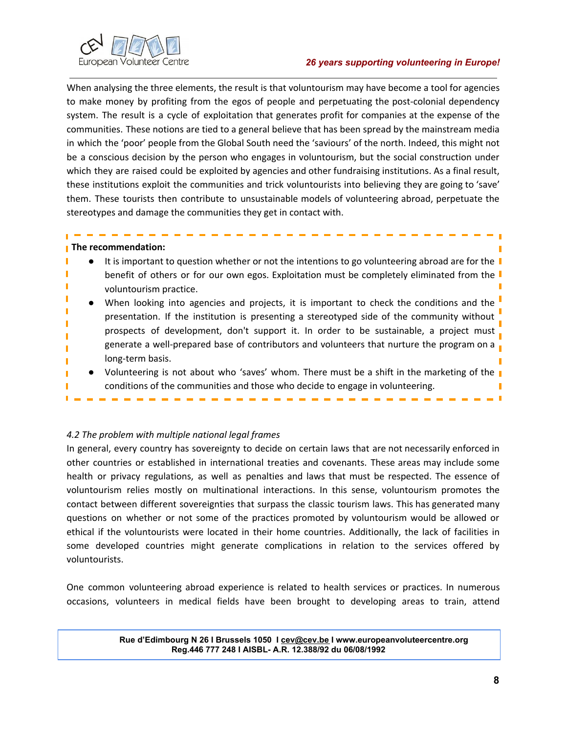



When analysing the three elements, the result is that voluntourism may have become a tool for agencies to make money by profiting from the egos of people and perpetuating the post-colonial dependency system. The result is a cycle of exploitation that generates profit for companies at the expense of the communities. These notions are tied to a general believe that has been spread by the mainstream media in which the 'poor' people from the Global South need the 'saviours' of the north. Indeed, this might not be a conscious decision by the person who engages in voluntourism, but the social construction under which they are raised could be exploited by agencies and other fundraising institutions. As a final result, these institutions exploit the communities and trick voluntourists into believing they are going to 'save' them. These tourists then contribute to unsustainable models of volunteering abroad, perpetuate the stereotypes and damage the communities they get in contact with.

## **The recommendation:**

- It is important to question whether or not the intentions to go volunteering abroad are for the  $\blacksquare$ benefit of others or for our own egos. Exploitation must be completely eliminated from the voluntourism practice.
- When looking into agencies and projects, it is important to check the conditions and the presentation. If the institution is presenting a stereotyped side of the community without prospects of development, don't support it. In order to be sustainable, a project must generate a well-prepared base of contributors and volunteers that nurture the program on a long-term basis.
- Volunteering is not about who 'saves' whom. There must be a shift in the marketing of the **I** conditions of the communities and those who decide to engage in volunteering.

# *4.2 The problem with multiple national legal frames*

In general, every country has sovereignty to decide on certain laws that are not necessarily enforced in other countries or established in international treaties and covenants. These areas may include some health or privacy regulations, as well as penalties and laws that must be respected. The essence of voluntourism relies mostly on multinational interactions. In this sense, voluntourism promotes the contact between different sovereignties that surpass the classic tourism laws. This has generated many questions on whether or not some of the practices promoted by voluntourism would be allowed or ethical if the voluntourists were located in their home countries. Additionally, the lack of facilities in some developed countries might generate complications in relation to the services offered by voluntourists.

One common volunteering abroad experience is related to health services or practices. In numerous occasions, volunteers in medical fields have been brought to developing areas to train, attend

> **Rue d'Edimbourg N 26 I Brussels 1050 I [cev@cev.be](mailto:cev@cev.be) I www.europeanvoluteercentre.org Reg.446 777 248 I AISBL- A.R. 12.388/92 du 06/08/1992**

m T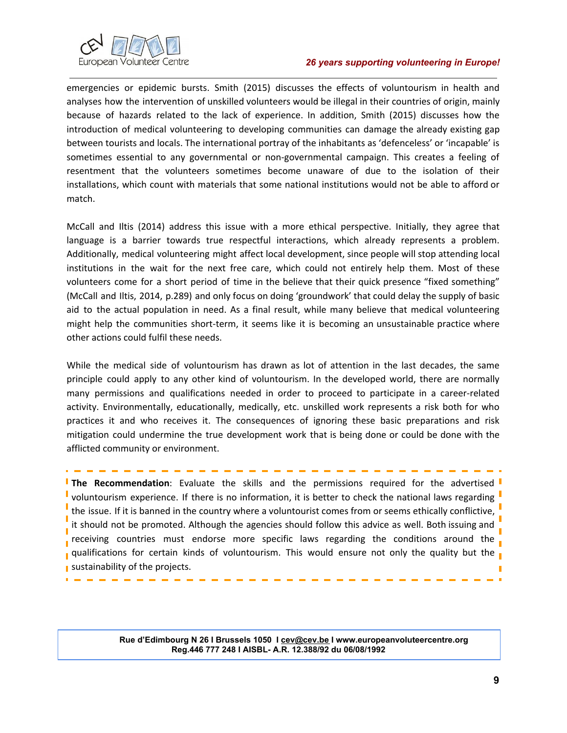

### *26 years supporting volunteering in Europe!*

emergencies or epidemic bursts. Smith (2015) discusses the effects of voluntourism in health and analyses how the intervention of unskilled volunteers would be illegal in their countries of origin, mainly because of hazards related to the lack of experience. In addition, Smith (2015) discusses how the introduction of medical volunteering to developing communities can damage the already existing gap between tourists and locals. The international portray of the inhabitants as 'defenceless' or 'incapable' is sometimes essential to any governmental or non-governmental campaign. This creates a feeling of resentment that the volunteers sometimes become unaware of due to the isolation of their installations, which count with materials that some national institutions would not be able to afford or match.

McCall and Iltis (2014) address this issue with a more ethical perspective. Initially, they agree that language is a barrier towards true respectful interactions, which already represents a problem. Additionally, medical volunteering might affect local development, since people will stop attending local institutions in the wait for the next free care, which could not entirely help them. Most of these volunteers come for a short period of time in the believe that their quick presence "fixed something" (McCall and Iltis, 2014, p.289) and only focus on doing 'groundwork' that could delay the supply of basic aid to the actual population in need. As a final result, while many believe that medical volunteering might help the communities short-term, it seems like it is becoming an unsustainable practice where other actions could fulfil these needs.

While the medical side of voluntourism has drawn as lot of attention in the last decades, the same principle could apply to any other kind of voluntourism. In the developed world, there are normally many permissions and qualifications needed in order to proceed to participate in a career-related activity. Environmentally, educationally, medically, etc. unskilled work represents a risk both for who practices it and who receives it. The consequences of ignoring these basic preparations and risk mitigation could undermine the true development work that is being done or could be done with the afflicted community or environment.

**The Recommendation**: Evaluate the skills and the permissions required for the advertised voluntourism experience. If there is no information, it is better to check the national laws regarding " the issue. If it is banned in the country where a voluntourist comes from or seems ethically conflictive, it should not be promoted. Although the agencies should follow this advice as well. Both issuing and receiving countries must endorse more specific laws regarding the conditions around the our qualifications for certain kinds of voluntourism. This would ensure not only the quality but the sustainability of the projects. ī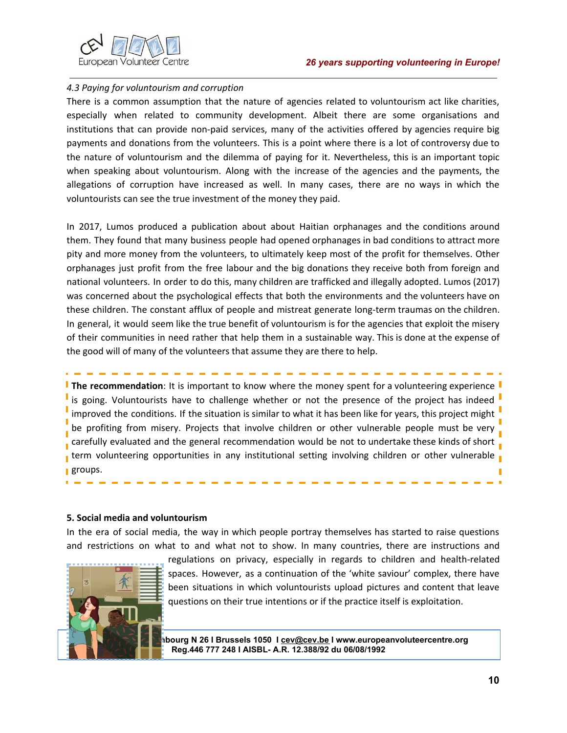

### *4.3 Paying for voluntourism and corruption*

There is a common assumption that the nature of agencies related to voluntourism act like charities, especially when related to community development. Albeit there are some organisations and institutions that can provide non-paid services, many of the activities offered by agencies require big payments and donations from the volunteers. This is a point where there is a lot of controversy due to the nature of voluntourism and the dilemma of paying for it. Nevertheless, this is an important topic when speaking about voluntourism. Along with the increase of the agencies and the payments, the allegations of corruption have increased as well. In many cases, there are no ways in which the voluntourists can see the true investment of the money they paid.

In 2017, Lumos produced a publication about about Haitian orphanages and the conditions around them. They found that many business people had opened orphanages in bad conditions to attract more pity and more money from the volunteers, to ultimately keep most of the profit for themselves. Other orphanages just profit from the free labour and the big donations they receive both from foreign and national volunteers. In order to do this, many children are trafficked and illegally adopted. Lumos (2017) was concerned about the psychological effects that both the environments and the volunteers have on these children. The constant afflux of people and mistreat generate long-term traumas on the children. In general, it would seem like the true benefit of voluntourism is for the agencies that exploit the misery of their communities in need rather that help them in a sustainable way. This is done at the expense of the good will of many of the volunteers that assume they are there to help.

**The recommendation**: It is important to know where the money spent for a volunteering experience is going. Voluntourists have to challenge whether or not the presence of the project has indeed improved the conditions. If the situation is similar to what it has been like for years, this project might <sup>"</sup> be profiting from misery. Projects that involve children or other vulnerable people must be very carefully evaluated and the general recommendation would be not to undertake these kinds of short  $\frac{1}{1}$ term volunteering opportunities in any institutional setting involving children or other vulnerable **groups.** 

### **5. Social media and voluntourism**

In the era of social media, the way in which people portray themselves has started to raise questions and restrictions on what to and what not to show. In many countries, there are instructions and



regulations on privacy, especially in regards to children and health-related spaces. However, as a continuation of the 'white saviour' complex, there have been situations in which voluntourists upload pictures and content that leave questions on their true intentions or if the practice itself is exploitation.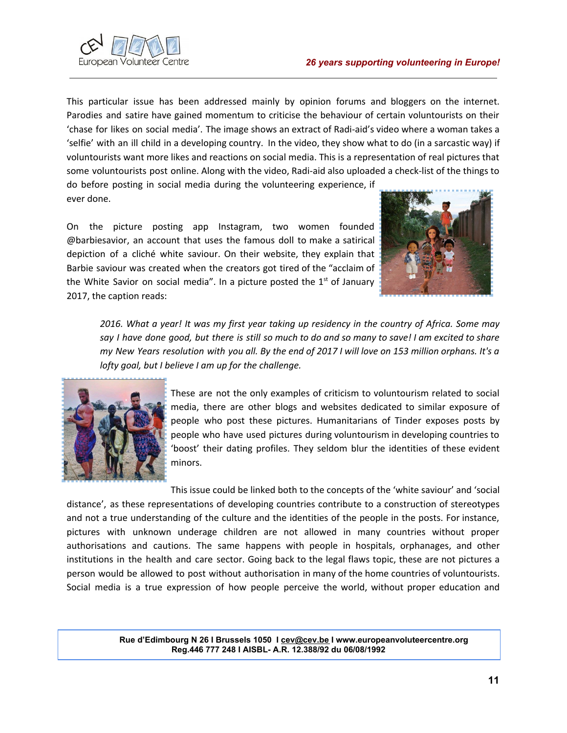

This particular issue has been addressed mainly by opinion forums and bloggers on the internet. Parodies and satire have gained momentum to criticise the behaviour of certain voluntourists on their 'chase for likes on social media'. The image shows an extract of Radi-aid's video where a woman takes a 'selfie' with an ill child in a developing country. In the video, they show what to do (in a sarcastic way) if voluntourists want more likes and reactions on social media. This is a representation of real pictures that some voluntourists post online. Along with the video, Radi-aid also uploaded a check-list of the things to

do before posting in social media during the volunteering experience, if ever done.

On the picture posting app Instagram, two women founded @barbiesavior, an account that uses the famous doll to make a satirical depiction of a cliché white saviour. On their website, they explain that Barbie saviour was created when the creators got tired of the "acclaim of the White Savior on social media". In a picture posted the  $1<sup>st</sup>$  of January 2017, the caption reads:



2016. What a year! It was my first year taking up residency in the country of Africa. Some may say I have done good, but there is still so much to do and so many to save! I am excited to share my New Years resolution with you all. By the end of 2017 I will love on 153 million orphans. It's a *lofty goal, but I believe I am up for the challenge.*



These are not the only examples of criticism to voluntourism related to social media, there are other blogs and websites dedicated to similar exposure of people who post these pictures. Humanitarians of Tinder exposes posts by people who have used pictures during voluntourism in developing countries to 'boost' their dating profiles. They seldom blur the identities of these evident minors.

This issue could be linked both to the concepts of the 'white saviour' and 'social distance', as these representations of developing countries contribute to a construction of stereotypes and not a true understanding of the culture and the identities of the people in the posts. For instance, pictures with unknown underage children are not allowed in many countries without proper authorisations and cautions. The same happens with people in hospitals, orphanages, and other institutions in the health and care sector. Going back to the legal flaws topic, these are not pictures a person would be allowed to post without authorisation in many of the home countries of voluntourists. Social media is a true expression of how people perceive the world, without proper education and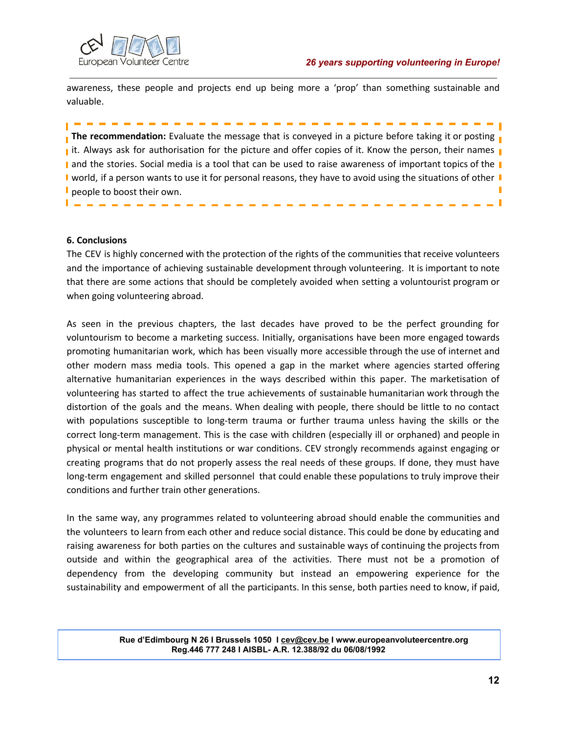

awareness, these people and projects end up being more a 'prop' than something sustainable and valuable.

--------------

**The recommendation:** Evaluate the message that is conveyed in a picture before taking it or posting **replacing** it. Always ask for authorisation for the picture and offer copies of it. Know the person, their names and the stories. Social media is a tool that can be used to raise awareness of important topics of the I world, if a person wants to use it for personal reasons, they have to avoid using the situations of other I people to boost their own. П  $\blacksquare$ 

## **6. Conclusions**

The CEV is highly concerned with the protection of the rights of the communities that receive volunteers and the importance of achieving sustainable development through volunteering. It is important to note that there are some actions that should be completely avoided when setting a voluntourist program or when going volunteering abroad.

As seen in the previous chapters, the last decades have proved to be the perfect grounding for voluntourism to become a marketing success. Initially, organisations have been more engaged towards promoting humanitarian work, which has been visually more accessible through the use of internet and other modern mass media tools. This opened a gap in the market where agencies started offering alternative humanitarian experiences in the ways described within this paper. The marketisation of volunteering has started to affect the true achievements of sustainable humanitarian work through the distortion of the goals and the means. When dealing with people, there should be little to no contact with populations susceptible to long-term trauma or further trauma unless having the skills or the correct long-term management. This is the case with children (especially ill or orphaned) and people in physical or mental health institutions or war conditions. CEV strongly recommends against engaging or creating programs that do not properly assess the real needs of these groups. If done, they must have long-term engagement and skilled personnel that could enable these populations to truly improve their conditions and further train other generations.

In the same way, any programmes related to volunteering abroad should enable the communities and the volunteers to learn from each other and reduce social distance. This could be done by educating and raising awareness for both parties on the cultures and sustainable ways of continuing the projects from outside and within the geographical area of the activities. There must not be a promotion of dependency from the developing community but instead an empowering experience for the sustainability and empowerment of all the participants. In this sense, both parties need to know, if paid,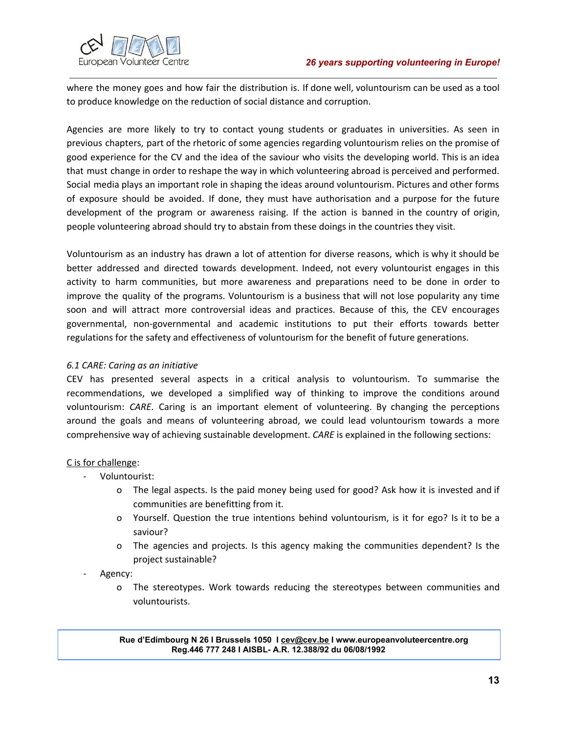

where the money goes and how fair the distribution is. If done well, voluntourism can be used as a tool to produce knowledge on the reduction of social distance and corruption.

Agencies are more likely to try to contact young students or graduates in universities. As seen in previous chapters, part of the rhetoric of some agencies regarding voluntourism relies on the promise of good experience for the CV and the idea of the saviour who visits the developing world. This is an idea that must change in order to reshape the way in which volunteering abroad is perceived and performed. Social media plays an important role in shaping the ideas around voluntourism. Pictures and other forms of exposure should be avoided. If done, they must have authorisation and a purpose for the future development of the program or awareness raising. If the action is banned in the country of origin, people volunteering abroad should try to abstain from these doings in the countries they visit.

Voluntourism as an industry has drawn a lot of attention for diverse reasons, which is why it should be better addressed and directed towards development. Indeed, not every voluntourist engages in this activity to harm communities, but more awareness and preparations need to be done in order to improve the quality of the programs. Voluntourism is a business that will not lose popularity any time soon and will attract more controversial ideas and practices. Because of this, the CEV encourages governmental, non-governmental and academic institutions to put their efforts towards better regulations for the safety and effectiveness of voluntourism for the benefit of future generations.

# *6.1 CARE: Caring as an initiative*

CEV has presented several aspects in a critical analysis to voluntourism. To summarise the recommendations, we developed a simplified way of thinking to improve the conditions around voluntourism: *CARE*. Caring is an important element of volunteering. By changing the perceptions around the goals and means of volunteering abroad, we could lead voluntourism towards a more comprehensive way of achieving sustainable development. *CARE* is explained in the following sections:

# C is for challenge:

- Voluntourist:
	- o The legal aspects. Is the paid money being used for good? Ask how it is invested and if communities are benefitting from it.
	- o Yourself. Question the true intentions behind voluntourism, is it for ego? Is it to be a saviour?
	- o The agencies and projects. Is this agency making the communities dependent? Is the project sustainable?
- Agency:
	- o The stereotypes. Work towards reducing the stereotypes between communities and voluntourists.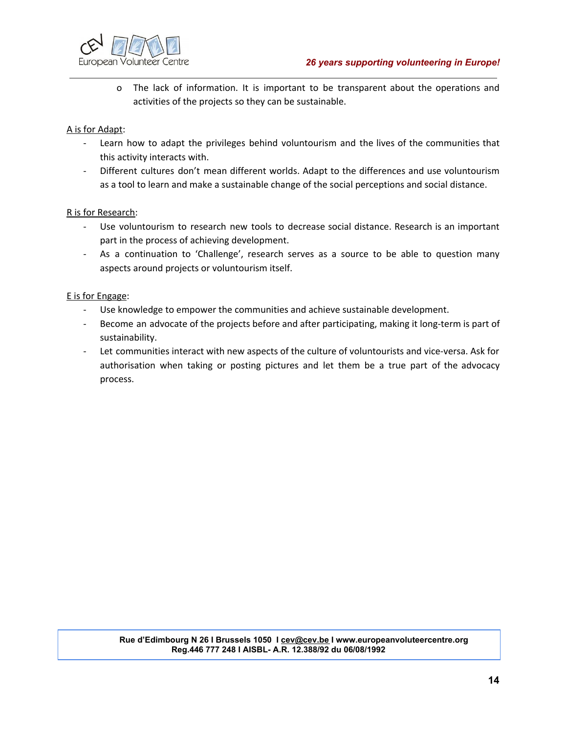

o The lack of information. It is important to be transparent about the operations and activities of the projects so they can be sustainable.

# A is for Adapt:

- Learn how to adapt the privileges behind voluntourism and the lives of the communities that this activity interacts with.
- Different cultures don't mean different worlds. Adapt to the differences and use voluntourism as a tool to learn and make a sustainable change of the social perceptions and social distance.

# R is for Research:

- Use voluntourism to research new tools to decrease social distance. Research is an important part in the process of achieving development.
- As a continuation to 'Challenge', research serves as a source to be able to question many aspects around projects or voluntourism itself.

## E is for Engage:

- Use knowledge to empower the communities and achieve sustainable development.
- Become an advocate of the projects before and after participating, making it long-term is part of sustainability.
- Let communities interact with new aspects of the culture of voluntourists and vice-versa. Ask for authorisation when taking or posting pictures and let them be a true part of the advocacy process.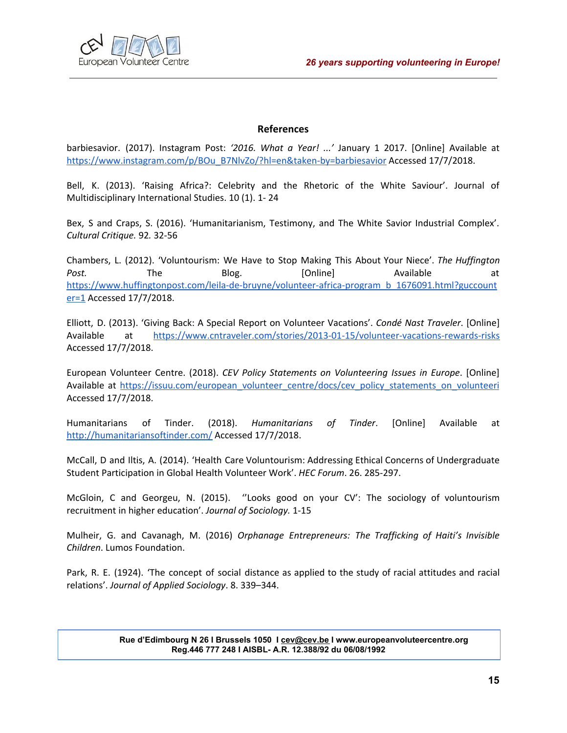

# **References**

barbiesavior. (2017). Instagram Post: *'2016. What a Year! ...'* January 1 2017. [Online] Available at [https://www.instagram.com/p/BOu\\_B7NlvZo/?hl=en&taken-by=barbiesavior](https://www.instagram.com/p/BOu_B7NlvZo/?hl=en&taken-by=barbiesavior) Accessed 17/7/2018.

Bell, K. (2013). 'Raising Africa?: Celebrity and the Rhetoric of the White Saviour'. Journal of Multidisciplinary International Studies. 10 (1). 1- 24

Bex, S and Craps, S. (2016). 'Humanitarianism, Testimony, and The White Savior Industrial Complex'. *Cultural Critique.* 92*.* 32-56

Chambers, L. (2012). 'Voluntourism: We Have to Stop Making This About Your Niece'. *The Huffington Post.* The Blog. [Online] Available a[t](https://www.huffingtonpost.com/leila-de-bruyne/volunteer-africa-program_b_1676091.html?guccounter=1) [https://www.huffingtonpost.com/leila-de-bruyne/volunteer-africa-program\\_b\\_1676091.html?guccount](https://www.huffingtonpost.com/leila-de-bruyne/volunteer-africa-program_b_1676091.html?guccounter=1) [er=1](https://www.huffingtonpost.com/leila-de-bruyne/volunteer-africa-program_b_1676091.html?guccounter=1) Accessed 17/7/2018.

Elliott, D. (2013). 'Giving Back: A Special Report on Volunteer Vacations'. *Condé Nast Traveler*. [Online] Available a[t](https://www.cntraveler.com/stories/2013-01-15/volunteer-vacations-rewards-risks) <https://www.cntraveler.com/stories/2013-01-15/volunteer-vacations-rewards-risks> Accessed 17/7/2018.

European Volunteer Centre. (2018). *CEV Policy Statements on Volunteering Issues in Europe*. [Online] Available a[t](https://issuu.com/european_volunteer_centre/docs/cev_policy_statements_on_volunteeri) [https://issuu.com/european\\_volunteer\\_centre/docs/cev\\_policy\\_statements\\_on\\_volunteeri](https://issuu.com/european_volunteer_centre/docs/cev_policy_statements_on_volunteeri) Accessed 17/7/2018.

Humanitarians of Tinder. (2018). *Humanitarians of Tinder*. [Online] Available at <http://humanitariansoftinder.com/> Accessed 17/7/2018.

McCall, D and Iltis, A. (2014). 'Health Care Voluntourism: Addressing Ethical Concerns of Undergraduate Student Participation in Global Health Volunteer Work'. *HEC Forum*. 26. 285-297.

McGloin, C and Georgeu, N. (2015). ''Looks good on your CV': The sociology of voluntourism recruitment in higher education'. *Journal of Sociology.* 1-15

Mulheir, G. and Cavanagh, M. (2016) *Orphanage Entrepreneurs: The Trafficking of Haiti's Invisible Children*. Lumos Foundation.

Park, R. E. (1924). 'The concept of social distance as applied to the study of racial attitudes and racial relations'. *Journal of Applied Sociology*. 8. 339–344.